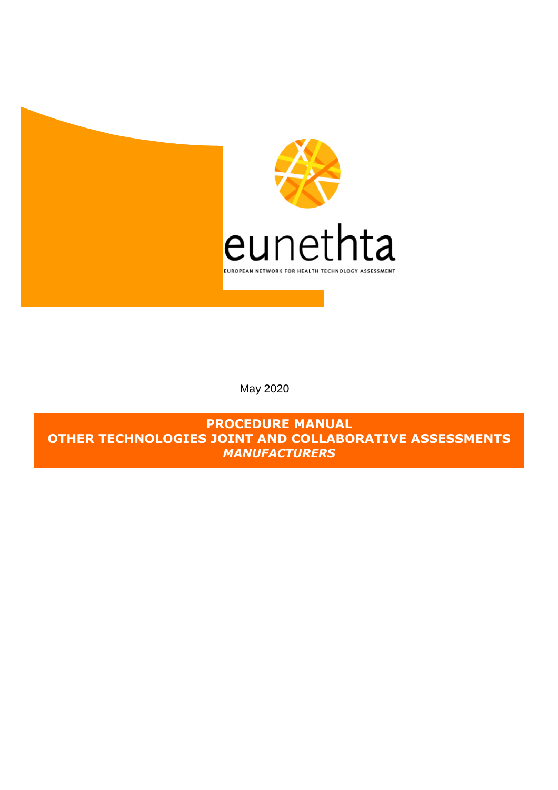

May 2020

**PROCEDURE MANUAL OTHER TECHNOLOGIES JOINT AND COLLABORATIVE ASSESSMENTS**  *MANUFACTURERS*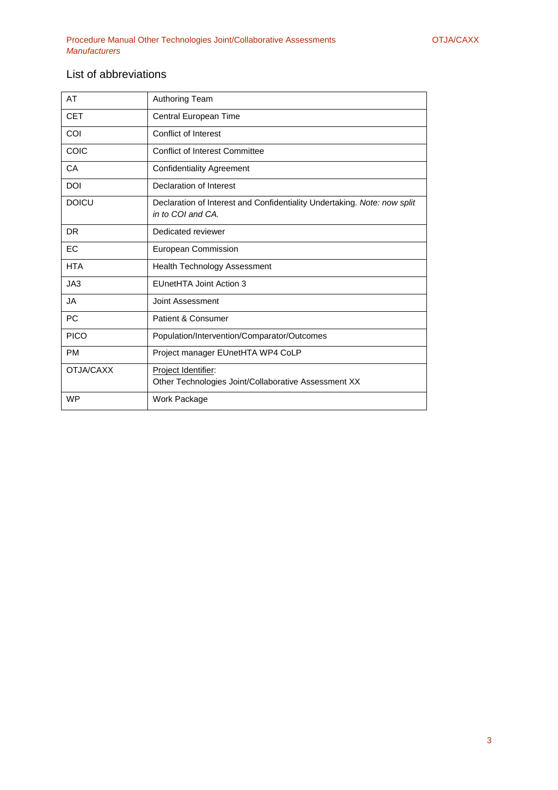## List of abbreviations

| AT           | <b>Authoring Team</b>                                                                         |
|--------------|-----------------------------------------------------------------------------------------------|
| <b>CET</b>   | Central European Time                                                                         |
| COI          | Conflict of Interest                                                                          |
| COIC         | <b>Conflict of Interest Committee</b>                                                         |
| CA           | <b>Confidentiality Agreement</b>                                                              |
| <b>DOI</b>   | Declaration of Interest                                                                       |
| <b>DOICU</b> | Declaration of Interest and Confidentiality Undertaking. Note: now split<br>in to COI and CA. |
| <b>DR</b>    | Dedicated reviewer                                                                            |
| EC           | European Commission                                                                           |
| <b>HTA</b>   | <b>Health Technology Assessment</b>                                                           |
| JA3          | EUnetHTA Joint Action 3                                                                       |
| JA           | Joint Assessment                                                                              |
| PC           | Patient & Consumer                                                                            |
| <b>PICO</b>  | Population/Intervention/Comparator/Outcomes                                                   |
| <b>PM</b>    | Project manager EUnetHTA WP4 CoLP                                                             |
| OTJA/CAXX    | Project Identifier:<br>Other Technologies Joint/Collaborative Assessment XX                   |
| <b>WP</b>    | Work Package                                                                                  |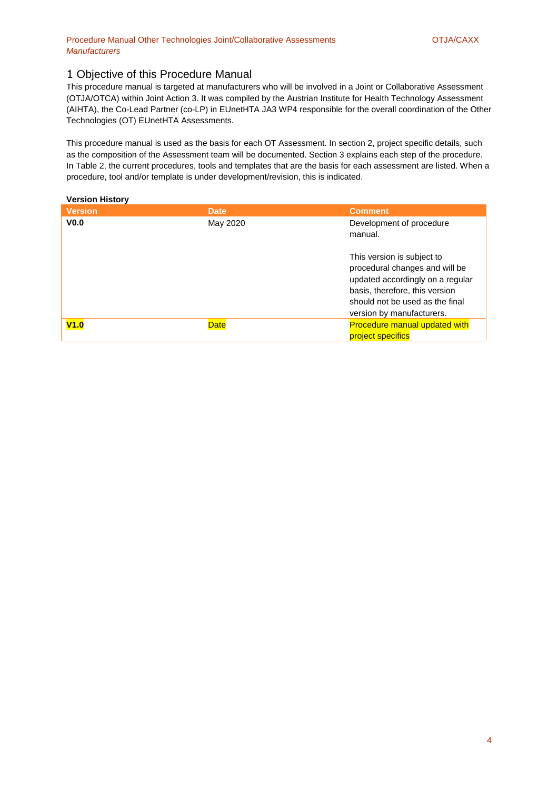### 1 Objective of this Procedure Manual

This procedure manual is targeted at manufacturers who will be involved in a Joint or Collaborative Assessment (OTJA/OTCA) within Joint Action 3. It was compiled by the Austrian Institute for Health Technology Assessment (AIHTA), the Co-Lead Partner (co-LP) in EUnetHTA JA3 WP4 responsible for the overall coordination of the Other Technologies (OT) EUnetHTA Assessments.

This procedure manual is used as the basis for each OT Assessment. In section 2, project specific details, such as the composition of the Assessment team will be documented. Section 3 explains each step of the procedure. In Table 2, the current procedures, tools and templates that are the basis for each assessment are listed. When a procedure, tool and/or template is under development/revision, this is indicated.

#### **Version History**

| <b>Version</b>   | <b>Date</b> | <b>Comment</b>                                                                                                                                                                                     |
|------------------|-------------|----------------------------------------------------------------------------------------------------------------------------------------------------------------------------------------------------|
| V <sub>0.0</sub> | May 2020    | Development of procedure<br>manual.                                                                                                                                                                |
|                  |             | This version is subject to<br>procedural changes and will be<br>updated accordingly on a regular<br>basis, therefore, this version<br>should not be used as the final<br>version by manufacturers. |
| V1.0             | <b>Date</b> | <b>Procedure manual updated with</b><br>project specifics                                                                                                                                          |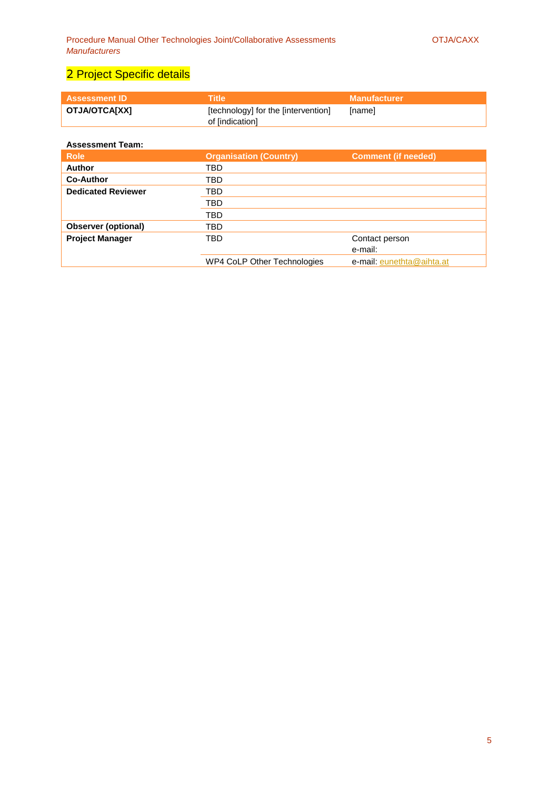# 2 Project Specific details

| <b>Assessment ID</b> | \Title\                                                | Manufacturer  |
|----------------------|--------------------------------------------------------|---------------|
| OTJA/OTCA[XX]        | [technology] for the [intervention]<br>of lindication] | <b>Inamel</b> |

### **Assessment Team:**

| <b>Role</b>                | <b>Organisation (Country)</b><br><b>Comment (if needed)</b> |                           |  |  |
|----------------------------|-------------------------------------------------------------|---------------------------|--|--|
| <b>Author</b>              | TBD                                                         |                           |  |  |
| <b>Co-Author</b>           | TBD                                                         |                           |  |  |
| <b>Dedicated Reviewer</b>  | TBD                                                         |                           |  |  |
|                            | TBD                                                         |                           |  |  |
|                            | TBD                                                         |                           |  |  |
| <b>Observer (optional)</b> | TBD                                                         |                           |  |  |
| <b>Project Manager</b>     | TBD                                                         | Contact person            |  |  |
|                            |                                                             | e-mail:                   |  |  |
|                            | <b>WP4 CoLP Other Technologies</b>                          | e-mail: eunethta@aihta.at |  |  |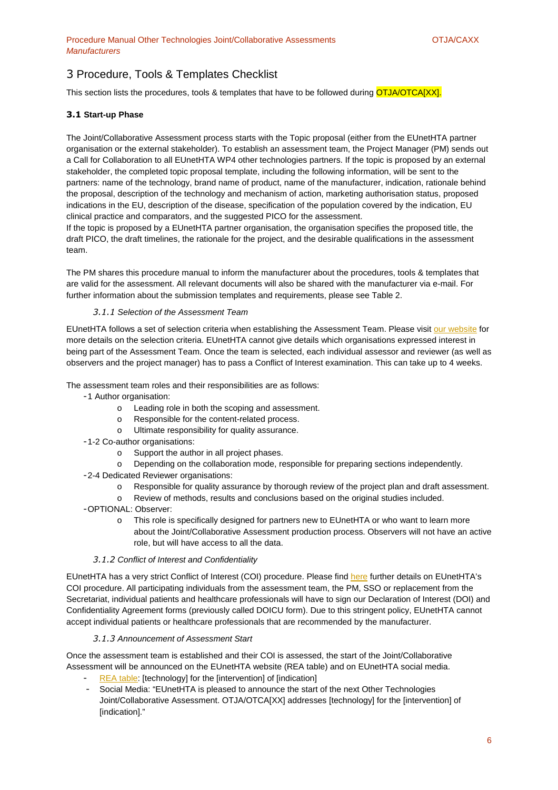## 3 Procedure, Tools & Templates Checklist

This section lists the procedures, tools & templates that have to be followed during **OTJA/OTCA[XX].** 

#### **3.1 Start-up Phase**

The Joint/Collaborative Assessment process starts with the Topic proposal (either from the EUnetHTA partner organisation or the external stakeholder). To establish an assessment team, the Project Manager (PM) sends out a Call for Collaboration to all EUnetHTA WP4 other technologies partners. If the topic is proposed by an external stakeholder, the completed topic proposal template, including the following information, will be sent to the partners: name of the technology, brand name of product, name of the manufacturer, indication, rationale behind the proposal, description of the technology and mechanism of action, marketing authorisation status, proposed indications in the EU, description of the disease, specification of the population covered by the indication, EU clinical practice and comparators, and the suggested PICO for the assessment.

If the topic is proposed by a EUnetHTA partner organisation, the organisation specifies the proposed title, the draft PICO, the draft timelines, the rationale for the project, and the desirable qualifications in the assessment team.

The PM shares this procedure manual to inform the manufacturer about the procedures, tools & templates that are valid for the assessment. All relevant documents will also be shared with the manufacturer via e-mail. For further information about the submission templates and requirements, please see Table 2.

#### *3.1.1* Selection of the Assessment Team

EUnetHTA follows a set of selection criteria when establishing the Assessment Team. Please visit our website for more details on the selection criteria. EUnetHTA cannot give details which organisations expressed interest in being part of the Assessment Team. Once the team is selected, each individual assessor and reviewer (as well as observers and the project manager) has to pass a Conflict of Interest examination. This can take up to 4 weeks.

The assessment team roles and their responsibilities are as follows:

- 1 Author organisation:
	- o Leading role in both the scoping and assessment.
	- o Responsible for the content-related process.
	- o Ultimate responsibility for quality assurance.
- 1-2 Co-author organisations:
	- o Support the author in all project phases.
	- o Depending on the collaboration mode, responsible for preparing sections independently.
- 2-4 Dedicated Reviewer organisations:
	- o Responsible for quality assurance by thorough review of the project plan and draft assessment.
	- o Review of methods, results and conclusions based on the original studies included.
- OPTIONAL: Observer:
	- o This role is specifically designed for partners new to EUnetHTA or who want to learn more about the Joint/Collaborative Assessment production process. Observers will not have an active role, but will have access to all the data.

#### *3.1.2* Conflict of Interest and Confidentiality

EUnetHTA has a very strict Conflict of Interest (COI) procedure. Please find here further details on EUnetHTA's COI procedure. All participating individuals from the assessment team, the PM, SSO or replacement from the Secretariat, individual patients and healthcare professionals will have to sign our Declaration of Interest (DOI) and Confidentiality Agreement forms (previously called DOICU form). Due to this stringent policy, EUnetHTA cannot accept individual patients or healthcare professionals that are recommended by the manufacturer.

#### *3.1.3* Announcement of Assessment Start

Once the assessment team is established and their COI is assessed, the start of the Joint/Collaborative Assessment will be announced on the EUnetHTA website (REA table) and on EUnetHTA social media.

- REA table: [technology] for the [intervention] of [indication]
- Social Media: "EUnetHTA is pleased to announce the start of the next Other Technologies Joint/Collaborative Assessment. OTJA/OTCA[XX] addresses [technology] for the [intervention] of [indication]."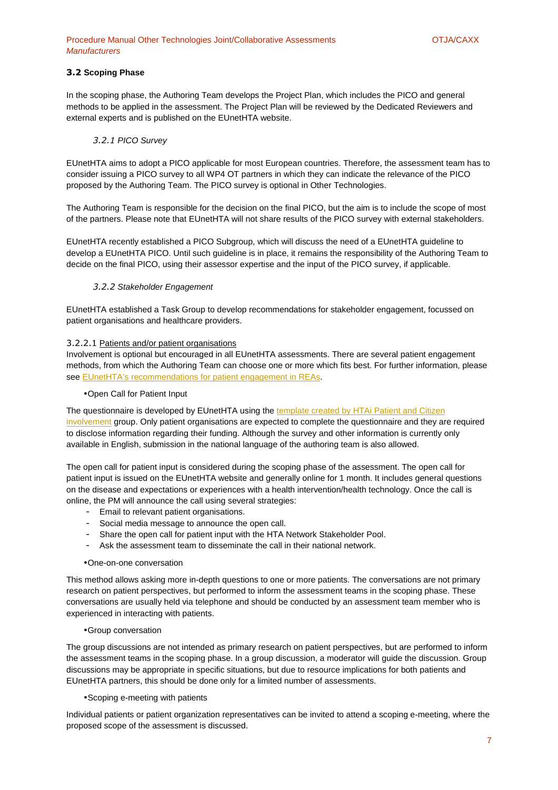#### **3.2 Scoping Phase**

In the scoping phase, the Authoring Team develops the Project Plan, which includes the PICO and general methods to be applied in the assessment. The Project Plan will be reviewed by the Dedicated Reviewers and external experts and is published on the EUnetHTA website.

#### *3.2.1* PICO Survey

EUnetHTA aims to adopt a PICO applicable for most European countries. Therefore, the assessment team has to consider issuing a PICO survey to all WP4 OT partners in which they can indicate the relevance of the PICO proposed by the Authoring Team. The PICO survey is optional in Other Technologies.

The Authoring Team is responsible for the decision on the final PICO, but the aim is to include the scope of most of the partners. Please note that EUnetHTA will not share results of the PICO survey with external stakeholders.

EUnetHTA recently established a PICO Subgroup, which will discuss the need of a EUnetHTA guideline to develop a EUnetHTA PICO. Until such guideline is in place, it remains the responsibility of the Authoring Team to decide on the final PICO, using their assessor expertise and the input of the PICO survey, if applicable.

#### *3.2.2* Stakeholder Engagement

EUnetHTA established a Task Group to develop recommendations for stakeholder engagement, focussed on patient organisations and healthcare providers.

#### 3.2.2.1 Patients and/or patient organisations

Involvement is optional but encouraged in all EUnetHTA assessments. There are several patient engagement methods, from which the Authoring Team can choose one or more which fits best. For further information, please see EUnetHTA's recommendations for patient engagement in REAs.

#### • Open Call for Patient Input

The questionnaire is developed by EUnetHTA using the template created by HTAi Patient and Citizen involvement group. Only patient organisations are expected to complete the questionnaire and they are required to disclose information regarding their funding. Although the survey and other information is currently only available in English, submission in the national language of the authoring team is also allowed.

The open call for patient input is considered during the scoping phase of the assessment. The open call for patient input is issued on the EUnetHTA website and generally online for 1 month. It includes general questions on the disease and expectations or experiences with a health intervention/health technology. Once the call is online, the PM will announce the call using several strategies:

- Email to relevant patient organisations.
- Social media message to announce the open call.
- Share the open call for patient input with the HTA Network Stakeholder Pool.
- Ask the assessment team to disseminate the call in their national network.

#### • One-on-one conversation

This method allows asking more in-depth questions to one or more patients. The conversations are not primary research on patient perspectives, but performed to inform the assessment teams in the scoping phase. These conversations are usually held via telephone and should be conducted by an assessment team member who is experienced in interacting with patients.

#### • Group conversation

The group discussions are not intended as primary research on patient perspectives, but are performed to inform the assessment teams in the scoping phase. In a group discussion, a moderator will guide the discussion. Group discussions may be appropriate in specific situations, but due to resource implications for both patients and EUnetHTA partners, this should be done only for a limited number of assessments.

#### • Scoping e-meeting with patients

Individual patients or patient organization representatives can be invited to attend a scoping e-meeting, where the proposed scope of the assessment is discussed.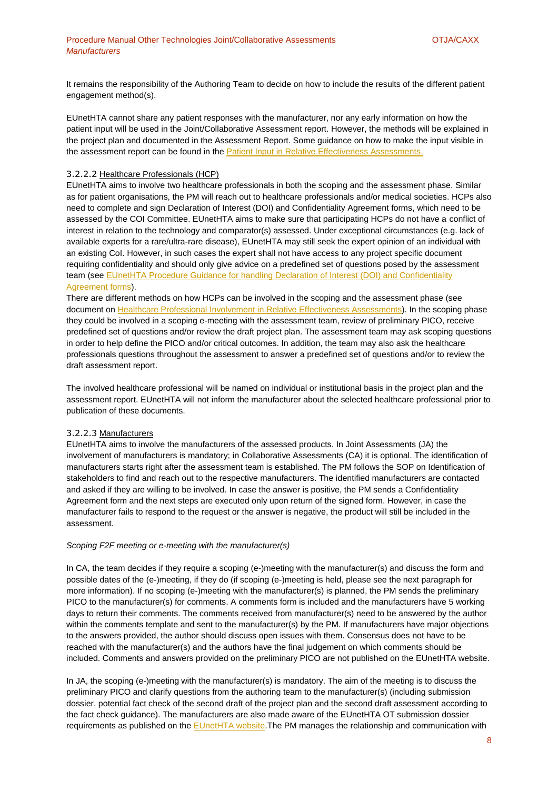It remains the responsibility of the Authoring Team to decide on how to include the results of the different patient engagement method(s).

EUnetHTA cannot share any patient responses with the manufacturer, nor any early information on how the patient input will be used in the Joint/Collaborative Assessment report. However, the methods will be explained in the project plan and documented in the Assessment Report. Some guidance on how to make the input visible in the assessment report can be found in the Patient Input in Relative Effectiveness Assessments.

#### 3.2.2.2 Healthcare Professionals (HCP)

EUnetHTA aims to involve two healthcare professionals in both the scoping and the assessment phase. Similar as for patient organisations, the PM will reach out to healthcare professionals and/or medical societies. HCPs also need to complete and sign Declaration of Interest (DOI) and Confidentiality Agreement forms, which need to be assessed by the COI Committee. EUnetHTA aims to make sure that participating HCPs do not have a conflict of interest in relation to the technology and comparator(s) assessed. Under exceptional circumstances (e.g. lack of available experts for a rare/ultra-rare disease), EUnetHTA may still seek the expert opinion of an individual with an existing CoI. However, in such cases the expert shall not have access to any project specific document requiring confidentiality and should only give advice on a predefined set of questions posed by the assessment team (see EUnetHTA Procedure Guidance for handling Declaration of Interest (DOI) and Confidentiality Agreement forms).

There are different methods on how HCPs can be involved in the scoping and the assessment phase (see document on Healthcare Professional Involvement in Relative Effectiveness Assessments). In the scoping phase they could be involved in a scoping e-meeting with the assessment team, review of preliminary PICO, receive predefined set of questions and/or review the draft project plan. The assessment team may ask scoping questions in order to help define the PICO and/or critical outcomes. In addition, the team may also ask the healthcare professionals questions throughout the assessment to answer a predefined set of questions and/or to review the draft assessment report.

The involved healthcare professional will be named on individual or institutional basis in the project plan and the assessment report. EUnetHTA will not inform the manufacturer about the selected healthcare professional prior to publication of these documents.

#### 3.2.2.3 Manufacturers

EUnetHTA aims to involve the manufacturers of the assessed products. In Joint Assessments (JA) the involvement of manufacturers is mandatory; in Collaborative Assessments (CA) it is optional. The identification of manufacturers starts right after the assessment team is established. The PM follows the SOP on Identification of stakeholders to find and reach out to the respective manufacturers. The identified manufacturers are contacted and asked if they are willing to be involved. In case the answer is positive, the PM sends a Confidentiality Agreement form and the next steps are executed only upon return of the signed form. However, in case the manufacturer fails to respond to the request or the answer is negative, the product will still be included in the assessment.

#### Scoping F2F meeting or e-meeting with the manufacturer(s)

In CA, the team decides if they require a scoping (e-)meeting with the manufacturer(s) and discuss the form and possible dates of the (e-)meeting, if they do (if scoping (e-)meeting is held, please see the next paragraph for more information). If no scoping (e-)meeting with the manufacturer(s) is planned, the PM sends the preliminary PICO to the manufacturer(s) for comments. A comments form is included and the manufacturers have 5 working days to return their comments. The comments received from manufacturer(s) need to be answered by the author within the comments template and sent to the manufacturer(s) by the PM. If manufacturers have major objections to the answers provided, the author should discuss open issues with them. Consensus does not have to be reached with the manufacturer(s) and the authors have the final judgement on which comments should be included. Comments and answers provided on the preliminary PICO are not published on the EUnetHTA website.

In JA, the scoping (e-)meeting with the manufacturer(s) is mandatory. The aim of the meeting is to discuss the preliminary PICO and clarify questions from the authoring team to the manufacturer(s) (including submission dossier, potential fact check of the second draft of the project plan and the second draft assessment according to the fact check guidance). The manufacturers are also made aware of the EUnetHTA OT submission dossier requirements as published on the EUnetHTA website. The PM manages the relationship and communication with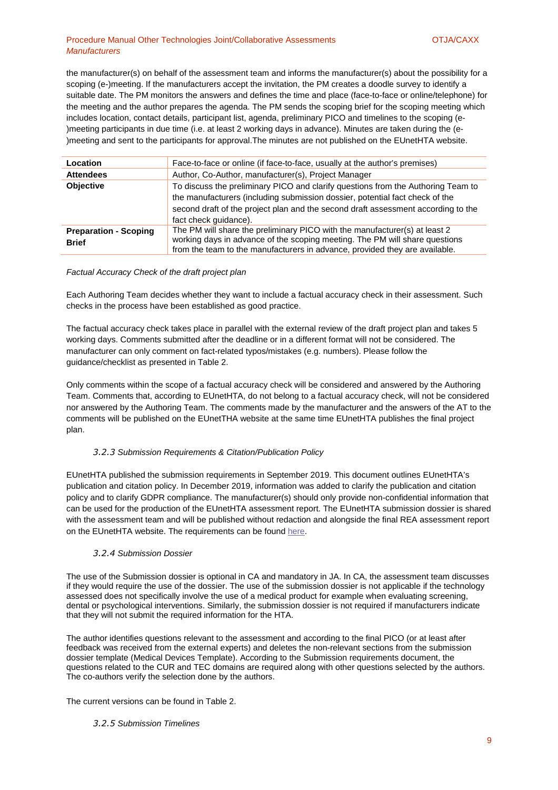#### Procedure Manual Other Technologies Joint/Collaborative Assessments **COLLACAXX** OTJA/CAXX **Manufacturers**

the manufacturer(s) on behalf of the assessment team and informs the manufacturer(s) about the possibility for a scoping (e-)meeting. If the manufacturers accept the invitation, the PM creates a doodle survey to identify a suitable date. The PM monitors the answers and defines the time and place (face-to-face or online/telephone) for the meeting and the author prepares the agenda. The PM sends the scoping brief for the scoping meeting which includes location, contact details, participant list, agenda, preliminary PICO and timelines to the scoping (e- )meeting participants in due time (i.e. at least 2 working days in advance). Minutes are taken during the (e- )meeting and sent to the participants for approval.The minutes are not published on the EUnetHTA website.

| Location                                     | Face-to-face or online (if face-to-face, usually at the author's premises)                                                                                                                                                                                                     |
|----------------------------------------------|--------------------------------------------------------------------------------------------------------------------------------------------------------------------------------------------------------------------------------------------------------------------------------|
| <b>Attendees</b>                             | Author, Co-Author, manufacturer(s), Project Manager                                                                                                                                                                                                                            |
| <b>Objective</b>                             | To discuss the preliminary PICO and clarify questions from the Authoring Team to<br>the manufacturers (including submission dossier, potential fact check of the<br>second draft of the project plan and the second draft assessment according to the<br>fact check quidance). |
| <b>Preparation - Scoping</b><br><b>Brief</b> | The PM will share the preliminary PICO with the manufacturer(s) at least 2<br>working days in advance of the scoping meeting. The PM will share questions<br>from the team to the manufacturers in advance, provided they are available.                                       |

#### Factual Accuracy Check of the draft project plan

Each Authoring Team decides whether they want to include a factual accuracy check in their assessment. Such checks in the process have been established as good practice.

The factual accuracy check takes place in parallel with the external review of the draft project plan and takes 5 working days. Comments submitted after the deadline or in a different format will not be considered. The manufacturer can only comment on fact-related typos/mistakes (e.g. numbers). Please follow the guidance/checklist as presented in Table 2.

Only comments within the scope of a factual accuracy check will be considered and answered by the Authoring Team. Comments that, according to EUnetHTA, do not belong to a factual accuracy check, will not be considered nor answered by the Authoring Team. The comments made by the manufacturer and the answers of the AT to the comments will be published on the EUnetTHA website at the same time EUnetHTA publishes the final project plan.

#### *3.2.3* Submission Requirements & Citation/Publication Policy

EUnetHTA published the submission requirements in September 2019. This document outlines EUnetHTA's publication and citation policy. In December 2019, information was added to clarify the publication and citation policy and to clarify GDPR compliance. The manufacturer(s) should only provide non-confidential information that can be used for the production of the EUnetHTA assessment report. The EUnetHTA submission dossier is shared with the assessment team and will be published without redaction and alongside the final REA assessment report on the EUnetHTA website. The requirements can be found here.

#### *3.2.4* Submission Dossier

The use of the Submission dossier is optional in CA and mandatory in JA. In CA, the assessment team discusses if they would require the use of the dossier. The use of the submission dossier is not applicable if the technology assessed does not specifically involve the use of a medical product for example when evaluating screening, dental or psychological interventions. Similarly, the submission dossier is not required if manufacturers indicate that they will not submit the required information for the HTA.

The author identifies questions relevant to the assessment and according to the final PICO (or at least after feedback was received from the external experts) and deletes the non-relevant sections from the submission dossier template (Medical Devices Template). According to the Submission requirements document, the questions related to the CUR and TEC domains are required along with other questions selected by the authors. The co-authors verify the selection done by the authors.

The current versions can be found in Table 2.

#### *3.2.5* Submission Timelines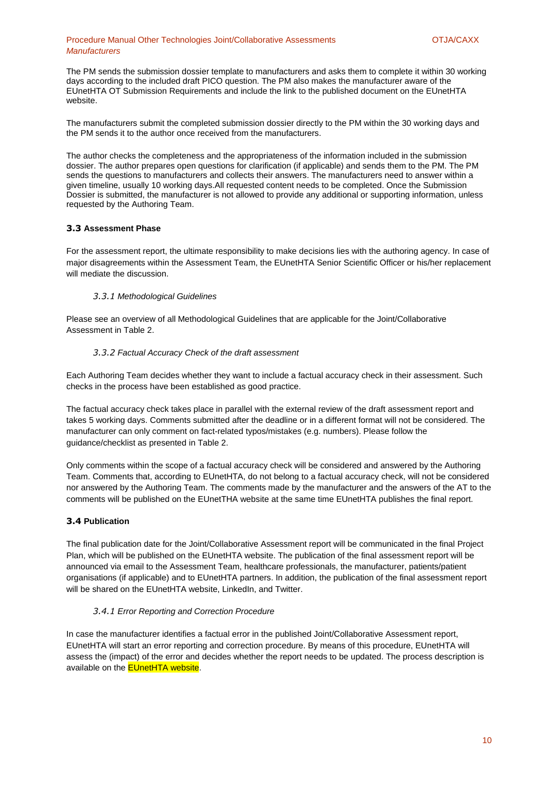#### Procedure Manual Other Technologies Joint/Collaborative Assessments **COLLACAXX** OTJA/CAXX **Manufacturers**

The PM sends the submission dossier template to manufacturers and asks them to complete it within 30 working days according to the included draft PICO question. The PM also makes the manufacturer aware of the EUnetHTA OT Submission Requirements and include the link to the published document on the EUnetHTA website.

The manufacturers submit the completed submission dossier directly to the PM within the 30 working days and the PM sends it to the author once received from the manufacturers.

The author checks the completeness and the appropriateness of the information included in the submission dossier. The author prepares open questions for clarification (if applicable) and sends them to the PM. The PM sends the questions to manufacturers and collects their answers. The manufacturers need to answer within a given timeline, usually 10 working days.All requested content needs to be completed. Once the Submission Dossier is submitted, the manufacturer is not allowed to provide any additional or supporting information, unless requested by the Authoring Team.

#### **3.3 Assessment Phase**

For the assessment report, the ultimate responsibility to make decisions lies with the authoring agency. In case of major disagreements within the Assessment Team, the EUnetHTA Senior Scientific Officer or his/her replacement will mediate the discussion.

#### *3.3.1* Methodological Guidelines

Please see an overview of all Methodological Guidelines that are applicable for the Joint/Collaborative Assessment in Table 2.

#### *3.3.2* Factual Accuracy Check of the draft assessment

Each Authoring Team decides whether they want to include a factual accuracy check in their assessment. Such checks in the process have been established as good practice.

The factual accuracy check takes place in parallel with the external review of the draft assessment report and takes 5 working days. Comments submitted after the deadline or in a different format will not be considered. The manufacturer can only comment on fact-related typos/mistakes (e.g. numbers). Please follow the guidance/checklist as presented in Table 2.

Only comments within the scope of a factual accuracy check will be considered and answered by the Authoring Team. Comments that, according to EUnetHTA, do not belong to a factual accuracy check, will not be considered nor answered by the Authoring Team. The comments made by the manufacturer and the answers of the AT to the comments will be published on the EUnetTHA website at the same time EUnetHTA publishes the final report.

#### **3.4 Publication**

The final publication date for the Joint/Collaborative Assessment report will be communicated in the final Project Plan, which will be published on the EUnetHTA website. The publication of the final assessment report will be announced via email to the Assessment Team, healthcare professionals, the manufacturer, patients/patient organisations (if applicable) and to EUnetHTA partners. In addition, the publication of the final assessment report will be shared on the EUnetHTA website, LinkedIn, and Twitter.

#### *3.4.1* Error Reporting and Correction Procedure

In case the manufacturer identifies a factual error in the published Joint/Collaborative Assessment report, EUnetHTA will start an error reporting and correction procedure. By means of this procedure, EUnetHTA will assess the (impact) of the error and decides whether the report needs to be updated. The process description is available on the **EUnetHTA website**.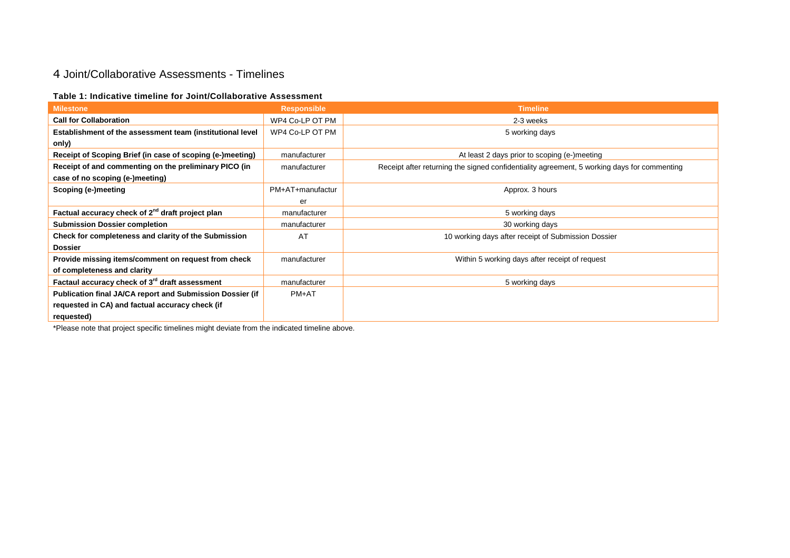## 4 Joint/Collaborative Assessments - Timelines

#### **Table 1: Indicative timeline for Joint/Collaborative Assessment**

| <b>Milestone</b>                                             | <b>Responsible</b> | <b>Timeline</b>                                                                             |
|--------------------------------------------------------------|--------------------|---------------------------------------------------------------------------------------------|
| <b>Call for Collaboration</b>                                | WP4 Co-LP OT PM    | 2-3 weeks                                                                                   |
| Establishment of the assessment team (institutional level    | WP4 Co-LP OT PM    | 5 working days                                                                              |
| only)                                                        |                    |                                                                                             |
| Receipt of Scoping Brief (in case of scoping (e-)meeting)    | manufacturer       | At least 2 days prior to scoping (e-)meeting                                                |
| Receipt of and commenting on the preliminary PICO (in        | manufacturer       | Receipt after returning the signed confidentiality agreement, 5 working days for commenting |
| case of no scoping (e-)meeting)                              |                    |                                                                                             |
| Scoping (e-)meeting                                          | PM+AT+manufactur   | Approx. 3 hours                                                                             |
|                                                              | er                 |                                                                                             |
| Factual accuracy check of 2 <sup>nd</sup> draft project plan | manufacturer       | 5 working days                                                                              |
| <b>Submission Dossier completion</b>                         | manufacturer       | 30 working days                                                                             |
| Check for completeness and clarity of the Submission         | AT                 | 10 working days after receipt of Submission Dossier                                         |
| <b>Dossier</b>                                               |                    |                                                                                             |
| Provide missing items/comment on request from check          | manufacturer       | Within 5 working days after receipt of request                                              |
| of completeness and clarity                                  |                    |                                                                                             |
| Factaul accuracy check of 3 <sup>rd</sup> draft assessment   | manufacturer       | 5 working days                                                                              |
| Publication final JA/CA report and Submission Dossier (if    | $PM+AT$            |                                                                                             |
| requested in CA) and factual accuracy check (if              |                    |                                                                                             |
| requested)                                                   |                    |                                                                                             |

\*Please note that project specific timelines might deviate from the indicated timeline above.